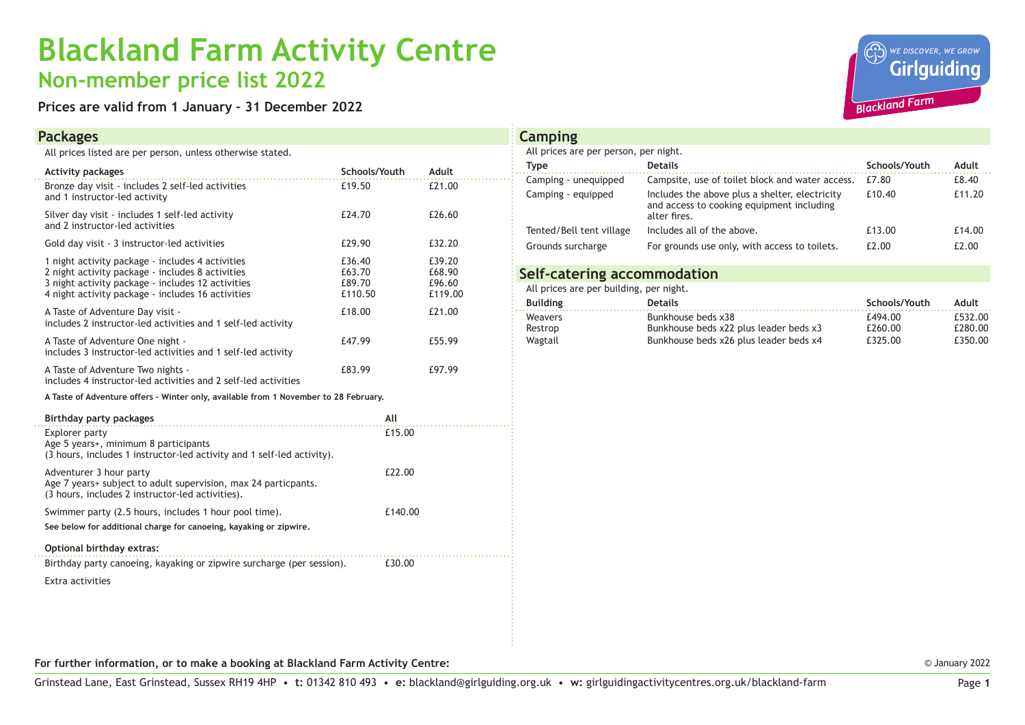## **Blackland Farm Activity Centre Non-member price list 2022**

**Prices are valid from 1 January – 31 December 2022**

## **Packages**

All prices listed are per person, unless otherwise stated.

| <b>Activity packages</b>                                                                                                                                                                                       | Schools/Youth                         |         | Adult                                 |
|----------------------------------------------------------------------------------------------------------------------------------------------------------------------------------------------------------------|---------------------------------------|---------|---------------------------------------|
| Bronze day visit - includes 2 self-led activities<br>and 1 instructor-led activity                                                                                                                             | £19.50                                |         | £21.00                                |
| Silver day visit - includes 1 self-led activity<br>and 2 instructor-led activities                                                                                                                             | £24.70                                |         | £26.60                                |
| Gold day visit - 3 instructor-led activities                                                                                                                                                                   | £29.90                                |         | £32.20                                |
| 1 night activity package - includes 4 activities<br>2 night activity package - includes 8 activities<br>3 night activity package - includes 12 activities<br>4 night activity package - includes 16 activities | £36.40<br>£63.70<br>£89.70<br>£110.50 |         | £39.20<br>£68.90<br>£96.60<br>£119.00 |
| A Taste of Adventure Day visit -<br>includes 2 instructor-led activities and 1 self-led activity                                                                                                               | £18.00                                |         | £21.00                                |
| A Taste of Adventure One night -<br>includes 3 instructor-led activities and 1 self-led activity                                                                                                               | £47.99                                |         | £55.99                                |
| A Taste of Adventure Two nights -<br>includes 4 instructor-led activities and 2 self-led activities                                                                                                            | £83.99                                |         | £97.99                                |
| A Taste of Adventure offers - Winter only, available from 1 November to 28 February.                                                                                                                           |                                       |         |                                       |
| <b>Birthday party packages</b>                                                                                                                                                                                 |                                       | All     |                                       |
| Explorer party<br>Age 5 years+, minimum 8 participants<br>(3 hours, includes 1 instructor-led activity and 1 self-led activity).                                                                               |                                       | £15.00  |                                       |
| Adventurer 3 hour party<br>Age 7 years+ subject to adult supervision, max 24 particpants.<br>(3 hours, includes 2 instructor-led activities).                                                                  |                                       | £22.00  |                                       |
| Swimmer party (2.5 hours, includes 1 hour pool time).                                                                                                                                                          |                                       | £140.00 |                                       |
| See below for additional charge for canoeing, kayaking or zipwire.                                                                                                                                             |                                       |         |                                       |
| Optional birthday extras:                                                                                                                                                                                      |                                       |         |                                       |
| Birthday party canoeing, kayaking or zipwire surcharge (per session).                                                                                                                                          |                                       | £30.00  |                                       |
| Extra activities                                                                                                                                                                                               |                                       |         |                                       |
|                                                                                                                                                                                                                |                                       |         |                                       |



| <b>Camping</b>                        |                                                                                                             |               |        |  |  |  |
|---------------------------------------|-------------------------------------------------------------------------------------------------------------|---------------|--------|--|--|--|
| All prices are per person, per night. |                                                                                                             |               |        |  |  |  |
| <b>Type</b>                           | <b>Details</b>                                                                                              | Schools/Youth | Adult  |  |  |  |
| Camping - unequipped                  | Campsite, use of toilet block and water access.                                                             | £7.80         | £8.40  |  |  |  |
| Camping - equipped                    | Includes the above plus a shelter, electricity<br>and access to cooking equipment including<br>alter fires. | £10.40        | £11.20 |  |  |  |
| Tented/Bell tent village              | Includes all of the above.                                                                                  | £13.00        | £14.00 |  |  |  |
| Grounds surcharge                     | For grounds use only, with access to toilets.                                                               | £2.00         | £2.00  |  |  |  |

## **Self-catering accommodation**

All prices are per building, per night.

| <b>Building</b> | <b>Details</b>                         | Schools/Youth | Adult   |
|-----------------|----------------------------------------|---------------|---------|
| Weavers         | Bunkhouse beds x38                     | f.494.00      | £532.00 |
| Restrop         | Bunkhouse beds x22 plus leader beds x3 | £260.00       | £280.00 |
| Wagtail         | Bunkhouse beds x26 plus leader beds x4 | £325.00       | £350.00 |

**For further information, or to make a booking at Blackland Farm Activity Centre:**